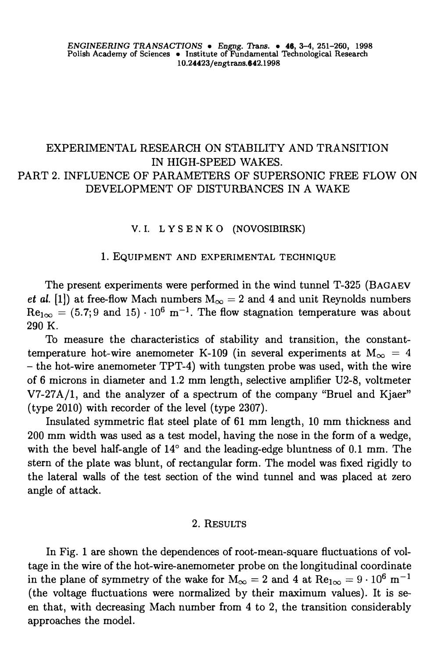# EXPERIMENTAL RESEARCH ON STABILITY AND TRANSITION IN HIGH-SPEED WAKES. PART 2. INFLUENCE OF PARAMETERS OF SUPERSONIC FREE FLOW ON DEVELOPMENT OF DISTURBANCES IN A WAKE

# V. I. L Y SE N KO (NOVOSIBIRSK)

### 1. EQUIPMENT AND EXPERIMENTAL TECHNIQUE

The present experiments were performed in the wind tunnel T-325 (BAGAEV *et al.* (1) at free-flow Mach numbers  $M_{\infty} = 2$  and 4 and unit Reynolds numbers  $Re_{1\infty} = (5.7; 9 \text{ and } 15) \cdot 10^6 \text{ m}^{-1}$ . The flow stagnation temperature was about 290 K.

To measure the characteristics of stability and transition, the constanttemperature hot-wire anemometer K-109 (in several experiments at  $M_{\infty} = 4$ - the hot-wire anemometer TPT-4) with tungsten probe was used, with the wire of 6 microns in diameter and 1.2 mm length, selective amplifier U2-8, voltmeter V7-27A/1, and the analyzer of a spectrum of the company "Bruel and Kjaer" (type 2010) with recorder of the level (type 2307).

Insulated symmetric fiat steel plate of 61 mm length, 10 mm thickness and 200 mm width was used as a test model, having the nose in the form of a wedge, with the bevel half-angle of 14° and the leading-edge bluntness of 0.1 mm. The stern of the plate was blunt, of rectangular form. The model was fixed rigidly to the lateral walls of the test section of the wind tunnel and was placed at zero angle of attack.

# 2. RESULTS

In Fig. 1 are shown the dependences of root-mean-square fluctuations of voltage in the wire of the hot-wire-anemometer probe on the longitudinal coordinate in the plane of symmetry of the wake for  $M_{\infty} = 2$  and 4 at  $Re_{1\infty} = 9 \cdot 10^6$  m<sup>-1</sup> (the voltage fluctuations were normalized by their maximum values). It is seen that, with decreasing Mach number from 4 to 2, the transition considerably approaches the model.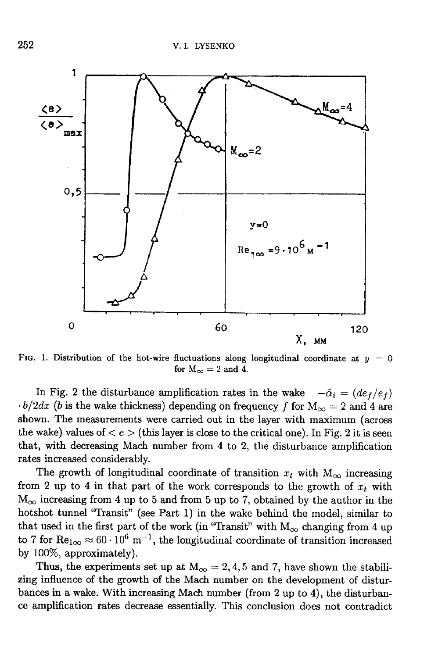

FIG. 1. Distribution of the hot-wire fluctuations along longitudinal coordinate at  $y = 0$ for  $M_{\infty} = 2$  and 4.

In Fig. 2 the disturbance amplification rates in the wake  $-\hat{\alpha}_i = (de_f/e_f)$  $\cdot b/2dx$  (b is the wake thickness) depending on frequency f for  $M_{\infty} = 2$  and 4 are shown. The measurements were carried out in the layer with maximum (across the wake) values of  $\langle e \rangle$  (this layer is close to the critical one). In Fig. 2 it is seen that, with decreasing Mach number from 4 to 2, the disturbance amplification rates increased considerably.

The growth of longitudinal coordinate of transition  $x_t$  with  $M_{\infty}$  increasing from 2 up to 4 in that part of the work corresponds to the growth of  $x_t$  with  $M_{\infty}$  increasing from 4 up to 5 and from 5 up to 7, obtained by the author in the hotshot tunnel "Transit" (see Part 1) in the wake behind the model, similar to that used in the first part of the work (in "Transit" with  $M_{\infty}$  changing from 4 up to 7 for  $\text{Re}_{1\infty} \approx 60 \cdot 10^6 \text{ m}^{-1}$ , the longitudinal coordinate of transition increased by 100%, approximately).

Thus, the experiments set up at  $M_{\infty} = 2, 4, 5$  and 7, have shown the stabilizing influence of the growth of the Mach number on the development of disturbances in a wake. With increasing Mach number (from 2 up to 4), the disturbance amplification rates decrease essentially. This conclusion does not contradict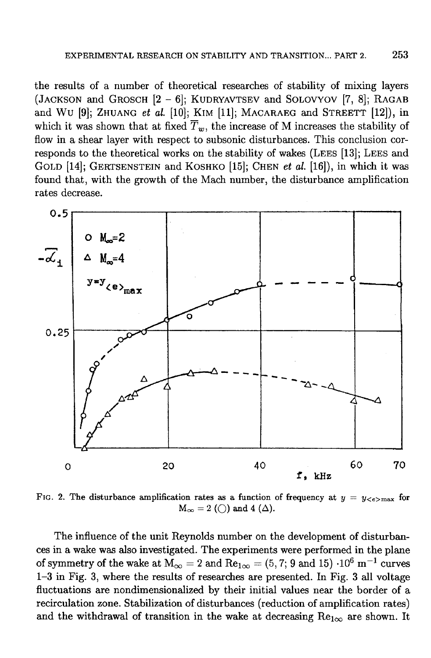the results of a number of theoretical researches of stability of mixing layers (JACKSON and GROSCH [2 - 6]; KUDRYAVTSEV and SOLOVYOV [7, 8]; RAGAB and WU [9]; ZHUANG et al. [10]; KIM [11]; MACARAEG and STREETT [12]), in which it was shown that at fixed  $\overline{T}_w$ , the increase of M increases the stability of flow in a shear layer with respect to subsonic disturbances. This conclusion corresponds to the theoretical works on the stability of wakes (LEES [13]; LEES and GOLD [14]; GERTSENSTEIN and KOSHKO [15]; CHEN et al. [16]), in which it was found that, with the growth of the Mach number, the disturbance amplification rates decrease.



FIG. 2. The disturbance amplification rates as a function of frequency at  $y = y_{\text{&}< e\text{&}> max}$  for  $M_{\infty} = 2$  (()) and 4 ( $\Delta$ ).

The influence of the unit Reynolds number on the development of disturbances in a wake was also investigated. The experiments were performed in the plane of symmetry of the wake at  $M_{\infty} = 2$  and  $Re_{1\infty} = (5, 7; 9 \text{ and } 15) \cdot 10^6 \text{ m}^{-1}$  curves 1-3 in Fig. 3, where the results of researches are presented. In Fig. 3 all voltage fluctuations are nondimensionalized by their initial values near the border of a recirculation zone. Stabilization of disturbances (reduction of amplification rates) and the withdrawal of transition in the wake at decreasing  $Re_{1\infty}$  are shown. It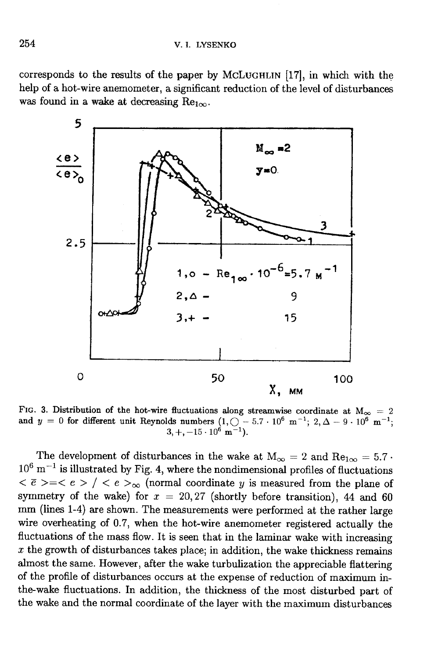corresponds to the results of the paper by McLUGHLIN [17], in which with the help of a hot-wire anemometer, a significant reduction of the level of disturbances was found in a wake at decreasing  $Re_{1\infty}$ .



FIG. 3. Distribution of the hot-wire fluctuations along streamwise coordinate at  $M_{\infty} = 2$ <br>and  $y = 0$  for different unit Reynolds numbers  $(1, 0 - 5.7 \cdot 10^6 \text{ m}^{-1}; 2, \Delta - 9 \cdot 10^6 \text{ m}^{-1};$  $3, +, -15 \cdot 10^{\circ}$  m<sup>-1</sup>).

The development of disturbances in the wake at  $M_{\infty} = 2$  and  $Re_{1\infty} = 5.7$ .  $10^6$  m<sup>-1</sup> is illustrated by Fig. 4, where the nondimensional profiles of fluctuations  $\langle \bar{e} \rangle = \langle e \rangle / \langle e \rangle$  (normal coordinate y is measured from the plane of symmetry of the wake) for  $x = 20,27$  (shortly before transition), 44 and 60 mm (lines 1-4) are shown. The measurements were performed at the rather large wire overheating of 0.7, when the hot-wire anemometer registered actually the fluctuations of the mass flow. It is seen that in the laminar wake with increasing  $x$  the growth of disturbances takes place; in addition, the wake thickness remains almost the same. However, after the wake turbulization the appreciable flattering of the profile of disturbances occurs at the expense of reduction of maximum inthe-wake fluctuations. In addition, the thickness of the most disturbed part of the wake and the normal coordinate of the layer with the maximum disturbances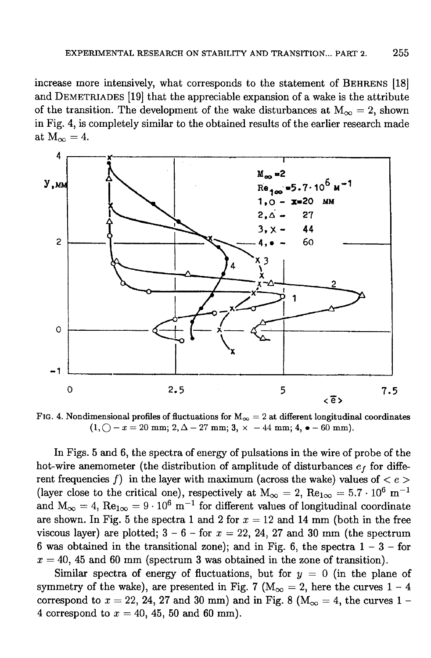increase more intensively, what corresponds to the statement of BEHRENS [18] and DEMETRIADES [19] that the appreciable expansion of a wake is the attribute of the transition. The development of the wake disturbances at  $M_{\infty} = 2$ , shown in Fig. 4, is completely similar to the obtained results of the earlier research made at  $M_{\infty} = 4$ .



FIG. 4. Nondimensional profiles of fluctuations for  $M_{\infty} = 2$  at different longitudinal coordinates  $(1, \bigcirc -x = 20$  mm;  $2, \Delta -27$  mm;  $3, \times -44$  mm;  $4, \bullet -60$  mm).

In Figs. 5 and 6, the spectra of energy of pulsations in the wire of probe of the hot-wire anemometer (the distribution of amplitude of disturbances  $e_f$  for different frequencies f) in the layer with maximum (across the wake) values of  $\langle e \rangle$ (layer close to the critical one), respectively at  $M_{\infty} = 2$ ,  $Re_{1\infty} = 5.7 \cdot 10^6$  m<sup>-1</sup> and  $M_{\infty} = 4$ ,  $Re_{1\infty} = 9 \cdot 10^6$  m<sup>-1</sup> for different values of longitudinal coordinate are shown. In Fig. 5 the spectra 1 and 2 for  $x = 12$  and 14 mm (both in the free viscous layer) are plotted;  $3 - 6 -$  for  $x = 22$ , 24, 27 and 30 mm (the spectrum 6 was obtained in the transitional zone); and in Fig. 6, the spectra  $1 - 3 -$  for  $x = 40, 45$  and 60 mm (spectrum 3 was obtained in the zone of transition).

Similar spectra of energy of fluctuations, but for  $y = 0$  (in the plane of symmetry of the wake), are presented in Fig. 7 ( $M_{\infty} = 2$ , here the curves 1 - 4 correspond to  $x = 22$ , 24, 27 and 30 mm) and in Fig. 8 ( $M_{\infty} = 4$ , the curves 1 -4 correspond to  $x = 40, 45, 50$  and 60 mm).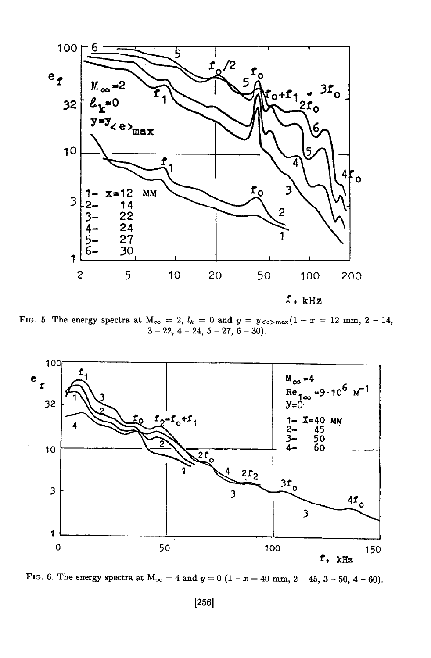

FIG. 5. The energy spectra at  $M_{\infty} = 2$ ,  $l_k = 0$  and  $y = y \leq e > \max(1 - x = 12 \text{ mm}, 2 - 14,$  $3-22, 4-24, 5-27, 6-30$ .



FIG. 6. The energy spectra at  $M_{\infty} = 4$  and  $y = 0$  (1 - x = 40 mm, 2 - 45, 3 - 50, 4 - 60).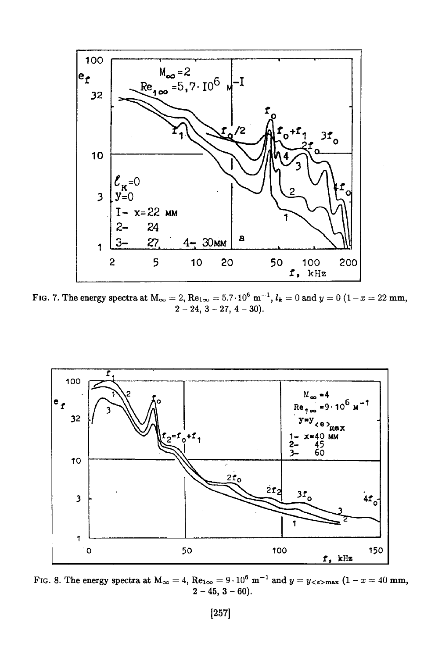

FIG. 7. The energy spectra at  $M_{\infty} = 2$ ,  $\text{Re}_{1\infty} = 5.7 \cdot 10^6 \text{ m}^{-1}$ ,  $l_k = 0$  and  $y = 0$   $(1 - x = 22 \text{ mm})$ ,  $2 - 24$ ,  $3 - 27$ ,  $4 - 30$ ).



FIG. 8. The energy spectra at  $M_{\infty} = 4$ ,  $Re_{1\infty} = 9 \cdot 10^6$  m<sup>-1</sup> and  $y = y_{\leq e > \max}$  (1 - x = 40 mm,  $2 - 45$ ,  $3 - 60$ ).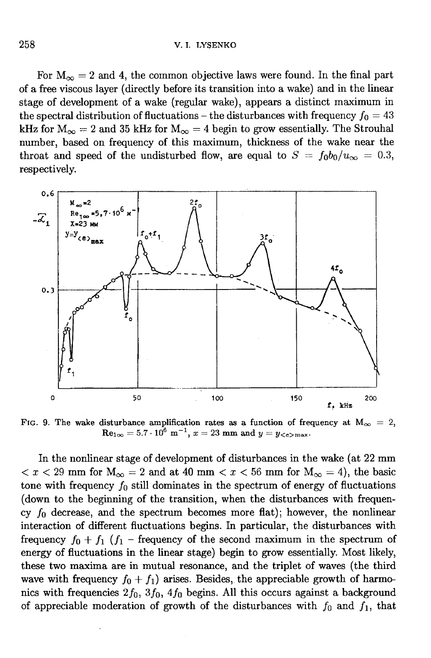#### V. I. LYSENKO

For  $M_{\infty} = 2$  and 4, the common objective laws were found. In the final part of a free viscous layer (directly before its transition into a wake) and in the linear stage of development of a wake (regular wake), appears a distinct maximum in the spectral distribution of fluctuations – the disturbances with frequency  $f_0 = 43$ kHz for  $M_{\infty} = 2$  and 35 kHz for  $M_{\infty} = 4$  begin to grow essentially. The Strouhal number, based on frequency of this maximum, thickness of the wake near the throat and speed of the undisturbed flow, are equal to  $S = f_0 b_0/u_\infty = 0.3$ , respectively.



FIG. 9. The wake disturbance amplification rates as a function of frequency at  $M_{\infty} = 2$ ,<br>Re<sub>1 $\infty$ </sub> = 5.7 · 10<sup>6</sup> m<sup>-1</sup>, x = 23 mm and y = y<sub><e>max</sub>.

In the nonlinear stage of development of disturbances in the wake (at 22 mm  $x <$  29 mm for  $M_{\infty} = 2$  and at 40 mm  $x <$  56 mm for  $M_{\infty} = 4$ , the basic tone with frequency  $f_0$  still dominates in the spectrum of energy of fluctuations (down to the beginning of the transition, when the disturbances with frequency  $f_0$  decrease, and the spectrum becomes more flat); however, the nonlinear interaction of different fluctuations begins. In particular, the disturbances with frequency  $f_0 + f_1$  ( $f_1$  – frequency of the second maximum in the spectrum of energy of fluctuations in the linear stage) begin to grow essentially. Most likely, these two maxima are in mutual resonance, and the triplet of waves (the third wave with frequency  $f_0 + f_1$  arises. Besides, the appreciable growth of harmonics with frequencies  $2f_0$ ,  $3f_0$ ,  $4f_0$  begins. All this occurs against a background of appreciable moderation of growth of the disturbances with  $f_0$  and  $f_1$ , that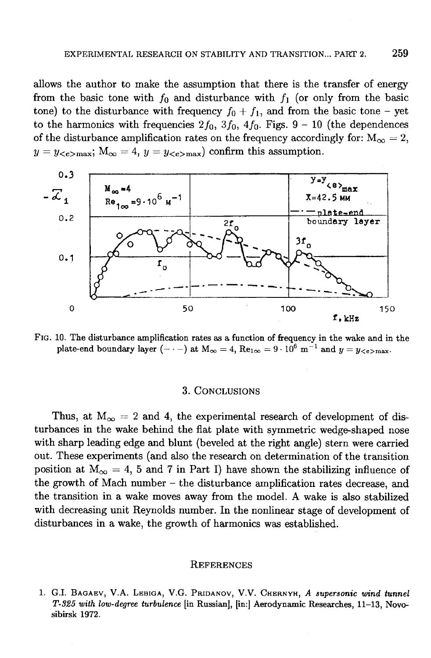allows the author to make the assumption that there is the transfer of energy from the basic tone with  $f_0$  and disturbance with  $f_1$  (or only from the basic tone) to the disturbance with frequency  $f_0 + f_1$ , and from the basic tone – yet to the harmonics with frequencies  $2f_0$ ,  $3f_0$ ,  $4f_0$ . Figs.  $9 - 10$  (the dependences of the disturbance amplification rates on the frequency accordingly for:  $M_{\infty} = 2$ ,  $y = y_{\leq e > \text{max}}$ ;  $M_{\infty} = 4$ ,  $y = y_{\leq e > \text{max}}$  confirm this assumption.



FIG. 10. The disturbance amplification rates as a function of frequency in the wake and in the plate-end boundary layer (- . -) at  $M_{\infty} = 4$ ,  $\text{Re}_{1\infty} = 9 \cdot 10^6$  m<sup>-1</sup> and  $y = y_{\text{ce} > \text{max}}$ .

### 3. CONCLUSIONS

Thus, at  $M_{\infty} = 2$  and 4, the experimental research of development of disturbances in the wake behind the flat plate with symmetric wedge-shaped nose with sharp leading edge and blunt (beveled at the right angle) stern were carried out. These experiments (and also the research on determination of the transition position at  $M_{\infty} = 4$ , 5 and 7 in Part I) have shown the stabilizing influence of the growth of Mach number – the disturbance amplification rates decrease, and the transition in a wake moves away from the model. A wake is also stabilized with decreasing unit Reynolds number. In the nonlinear stage of development of disturbances in a wake, the growth of harmonics was established.

#### **REFERENCES**

1. G.I. BAGAEV, V.A. LEBIGA, V.G. PRIDANOV, V.V. CHERNYH, A supersonic wind tunnel T-325 with low-degree turbulence [in Russian], [in:] Aerodynamic Researches, 11-13, Novosibirsk 1972.